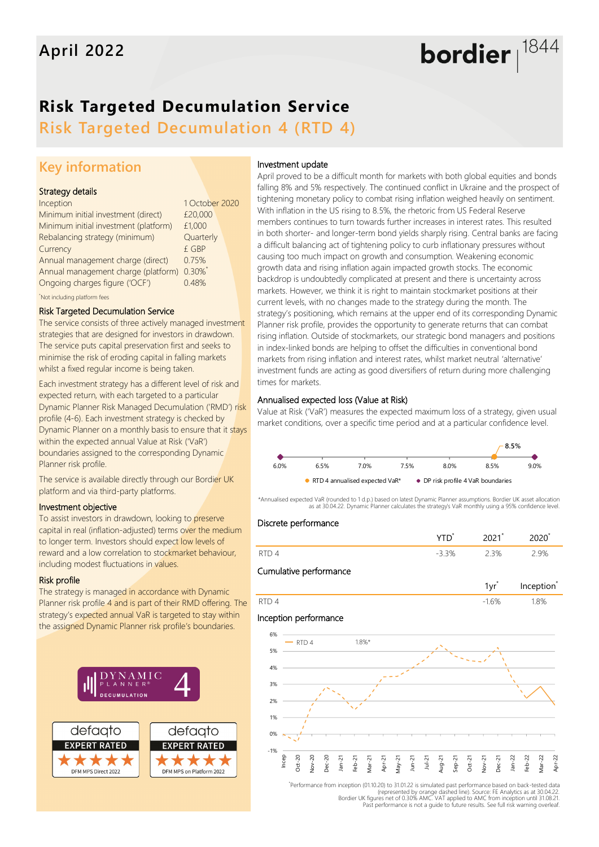# bordier  $1844$

## **Risk Targeted Decumulation Service**

**Risk Targeted Decumulation 4 (RTD 4)**

### **Key information**

#### Strategy details

| Inception                                  | 1 October 2020 |  |
|--------------------------------------------|----------------|--|
| Minimum initial investment (direct)        | £20,000        |  |
| Minimum initial investment (platform)      | £1,000         |  |
| Rebalancing strategy (minimum)             | Quarterly      |  |
| Currency                                   | £ GBP          |  |
| Annual management charge (direct)          | 0.75%          |  |
| Annual management charge (platform) 0.30%* |                |  |
| Ongoing charges figure ('OCF')             | 0.48%          |  |
| Not including platform fees                |                |  |

#### Risk Targeted Decumulation Service

The service consists of three actively managed investment strategies that are designed for investors in drawdown. The service puts capital preservation first and seeks to minimise the risk of eroding capital in falling markets whilst a fixed regular income is being taken.

Each investment strategy has a different level of risk and expected return, with each targeted to a particular Dynamic Planner Risk Managed Decumulation ('RMD') risk profile (4-6). Each investment strategy is checked by Dynamic Planner on a monthly basis to ensure that it stays within the expected annual Value at Risk ('VaR') boundaries assigned to the corresponding Dynamic Planner risk profile.

The service is available directly through our Bordier UK platform and via third-party platforms.

#### Investment objective

To assist investors in drawdown, looking to preserve capital in real (inflation-adjusted) terms over the medium to longer term. Investors should expect low levels of reward and a low correlation to stockmarket behaviour, including modest fluctuations in values.

#### Risk profile

The strategy is managed in accordance with Dynamic Planner risk profile 4 and is part of their RMD offering. The strategy's expected annual VaR is targeted to stay within the assigned Dynamic Planner risk profile's boundaries.



#### Investment update

April proved to be a difficult month for markets with both global equities and bonds falling 8% and 5% respectively. The continued conflict in Ukraine and the prospect of tightening monetary policy to combat rising inflation weighed heavily on sentiment. With inflation in the US rising to 8.5%, the rhetoric from US Federal Reserve members continues to turn towards further increases in interest rates. This resulted in both shorter- and longer-term bond yields sharply rising. Central banks are facing a difficult balancing act of tightening policy to curb inflationary pressures without causing too much impact on growth and consumption. Weakening economic growth data and rising inflation again impacted growth stocks. The economic backdrop is undoubtedly complicated at present and there is uncertainty across markets. However, we think it is right to maintain stockmarket positions at their current levels, with no changes made to the strategy during the month. The strategy's positioning, which remains at the upper end of its corresponding Dynamic Planner risk profile, provides the opportunity to generate returns that can combat rising inflation. Outside of stockmarkets, our strategic bond managers and positions in index-linked bonds are helping to offset the difficulties in conventional bond markets from rising inflation and interest rates, whilst market neutral 'alternative' investment funds are acting as good diversifiers of return during more challenging times for markets.

#### Annualised expected loss (Value at Risk)

Value at Risk ('VaR') measures the expected maximum loss of a strategy, given usual market conditions, over a specific time period and at a particular confidence level.



\*Annualised expected VaR (rounded to 1 d.p.) based on latest Dynamic Planner assumptions. Bordier UK asset allocation as at 30.04.22. Dynamic Planner calculates the strategy's VaR monthly using a 95% confidence level.

#### Discrete performance

|                          | י נוג | ,,,, |
|--------------------------|-------|------|
| $\overline{\phantom{a}}$ | 3%    | QQ   |











\* Performance from inception (01.10.20) to 31.01.22 is simulated past performance based on back-tested data represented by orange dashed line). Source: FE Analytics as at 30.04.22)<br>Bordier UK figures net of 0.30% AMC. VAT applied to AMC from inception until 31.08.21<br>Past performance is not a quide to future results. See full ris